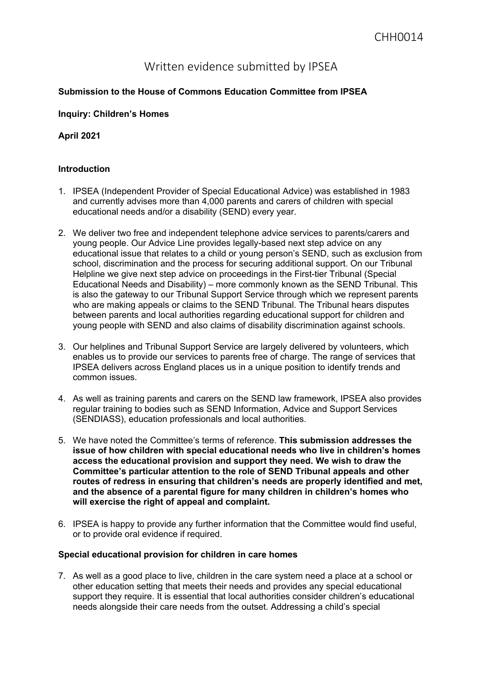# Written evidence submitted by IPSEA

## **Submission to the House of Commons Education Committee from IPSEA**

#### **Inquiry: Children's Homes**

### **April 2021**

#### **Introduction**

- 1. IPSEA (Independent Provider of Special Educational Advice) was established in 1983 and currently advises more than 4,000 parents and carers of children with special educational needs and/or a disability (SEND) every year.
- 2. We deliver two free and independent telephone advice services to parents/carers and young people. Our Advice Line provides legally-based next step advice on any educational issue that relates to a child or young person's SEND, such as exclusion from school, discrimination and the process for securing additional support. On our Tribunal Helpline we give next step advice on proceedings in the First-tier Tribunal (Special Educational Needs and Disability) – more commonly known as the SEND Tribunal. This is also the gateway to our Tribunal Support Service through which we represent parents who are making appeals or claims to the SEND Tribunal. The Tribunal hears disputes between parents and local authorities regarding educational support for children and young people with SEND and also claims of disability discrimination against schools.
- 3. Our helplines and Tribunal Support Service are largely delivered by volunteers, which enables us to provide our services to parents free of charge. The range of services that IPSEA delivers across England places us in a unique position to identify trends and common issues.
- 4. As well as training parents and carers on the SEND law framework, IPSEA also provides regular training to bodies such as SEND Information, Advice and Support Services (SENDIASS), education professionals and local authorities.
- 5. We have noted the Committee's terms of reference. **This submission addresses the issue of how children with special educational needs who live in children's homes access the educational provision and support they need. We wish to draw the Committee's particular attention to the role of SEND Tribunal appeals and other routes of redress in ensuring that children's needs are properly identified and met, and the absence of a parental figure for many children in children's homes who will exercise the right of appeal and complaint.**
- 6. IPSEA is happy to provide any further information that the Committee would find useful, or to provide oral evidence if required.

#### **Special educational provision for children in care homes**

7. As well as a good place to live, children in the care system need a place at a school or other education setting that meets their needs and provides any special educational support they require. It is essential that local authorities consider children's educational needs alongside their care needs from the outset. Addressing a child's special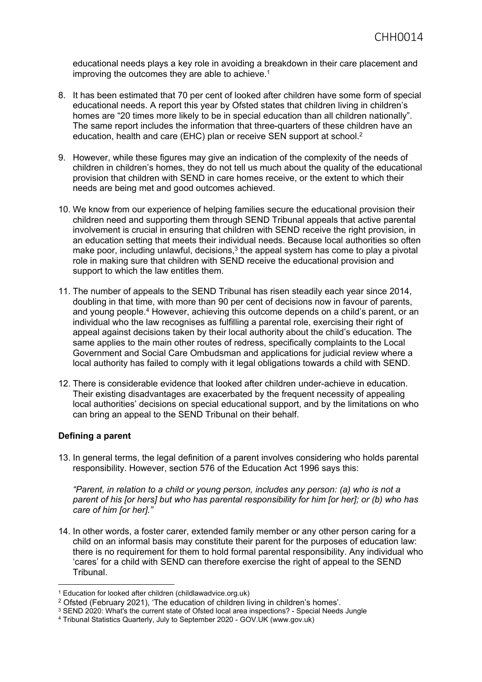educational needs plays a key role in avoiding a breakdown in their care placement and improving the outcomes they are able to achieve.<sup>1</sup>

- 8. It has been estimated that 70 per cent of looked after children have some form of special educational needs. A report this year by Ofsted states that children living in children's homes are "20 times more likely to be in special education than all children nationally". The same report includes the information that three-quarters of these children have an education, health and care (EHC) plan or receive SEN support at school.<sup>2</sup>
- 9. However, while these figures may give an indication of the complexity of the needs of children in children's homes, they do not tell us much about the quality of the educational provision that children with SEND in care homes receive, or the extent to which their needs are being met and good outcomes achieved.
- 10. We know from our experience of helping families secure the educational provision their children need and supporting them through SEND Tribunal appeals that active parental involvement is crucial in ensuring that children with SEND receive the right provision, in an education setting that meets their individual needs. Because local authorities so often make poor, including unlawful, decisions, $3$  the appeal system has come to play a pivotal role in making sure that children with SEND receive the educational provision and support to which the law entitles them.
- 11. The number of appeals to the SEND Tribunal has risen steadily each year since 2014, doubling in that time, with more than 90 per cent of decisions now in favour of parents, and young people.<sup>4</sup> However, achieving this outcome depends on a child's parent, or an individual who the law recognises as fulfilling a parental role, exercising their right of appeal against decisions taken by their local authority about the child's education. The same applies to the main other routes of redress, specifically complaints to the Local Government and Social Care Ombudsman and applications for judicial review where a local authority has failed to comply with it legal obligations towards a child with SEND.
- 12. There is considerable evidence that looked after children under-achieve in education. Their existing disadvantages are exacerbated by the frequent necessity of appealing local authorities' decisions on special educational support, and by the limitations on who can bring an appeal to the SEND Tribunal on their behalf.

#### **Defining a parent**

13. In general terms, the legal definition of a parent involves considering who holds parental responsibility. However, section 576 of the Education Act 1996 says this:

*"Parent, in relation to a child or young person, includes any person: (a) who is not a parent of his [or hers] but who has parental responsibility for him [or her]; or (b) who has care of him [or her]."*

14. In other words, a foster carer, extended family member or any other person caring for a child on an informal basis may constitute their parent for the purposes of education law: there is no requirement for them to hold formal parental responsibility. Any individual who 'cares' for a child with SEND can therefore exercise the right of appeal to the SEND Tribunal.

<sup>1</sup> Education for looked after children (childlawadvice.org.uk)

<sup>2</sup> Ofsted (February 2021), 'The education of children living in children's homes'.

<sup>3</sup> SEND 2020: What's the current state of Ofsted local area inspections? - Special Needs Jungle

<sup>4</sup> Tribunal Statistics Quarterly, July to September 2020 - GOV.UK (www.gov.uk)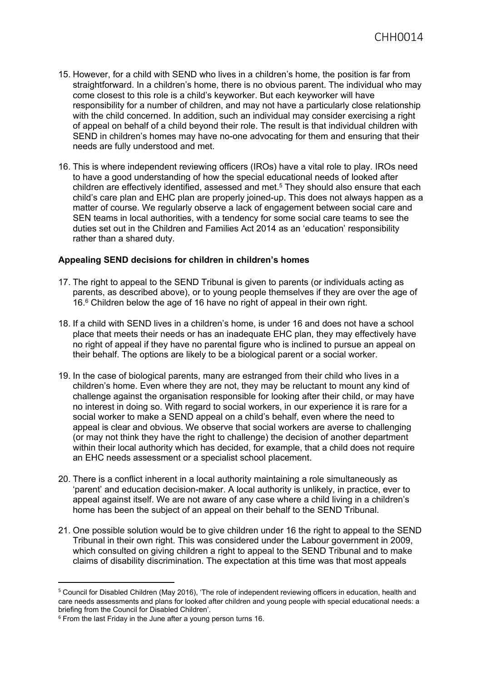- 15. However, for a child with SEND who lives in a children's home, the position is far from straightforward. In a children's home, there is no obvious parent. The individual who may come closest to this role is a child's keyworker. But each keyworker will have responsibility for a number of children, and may not have a particularly close relationship with the child concerned. In addition, such an individual may consider exercising a right of appeal on behalf of a child beyond their role. The result is that individual children with SEND in children's homes may have no-one advocating for them and ensuring that their needs are fully understood and met.
- 16. This is where independent reviewing officers (IROs) have a vital role to play. IROs need to have a good understanding of how the special educational needs of looked after children are effectively identified, assessed and met.<sup>5</sup> They should also ensure that each child's care plan and EHC plan are properly joined-up. This does not always happen as a matter of course. We regularly observe a lack of engagement between social care and SEN teams in local authorities, with a tendency for some social care teams to see the duties set out in the Children and Families Act 2014 as an 'education' responsibility rather than a shared duty.

#### **Appealing SEND decisions for children in children's homes**

- 17. The right to appeal to the SEND Tribunal is given to parents (or individuals acting as parents, as described above), or to young people themselves if they are over the age of 16.<sup>6</sup> Children below the age of 16 have no right of appeal in their own right.
- 18. If a child with SEND lives in a children's home, is under 16 and does not have a school place that meets their needs or has an inadequate EHC plan, they may effectively have no right of appeal if they have no parental figure who is inclined to pursue an appeal on their behalf. The options are likely to be a biological parent or a social worker.
- 19. In the case of biological parents, many are estranged from their child who lives in a children's home. Even where they are not, they may be reluctant to mount any kind of challenge against the organisation responsible for looking after their child, or may have no interest in doing so. With regard to social workers, in our experience it is rare for a social worker to make a SEND appeal on a child's behalf, even where the need to appeal is clear and obvious. We observe that social workers are averse to challenging (or may not think they have the right to challenge) the decision of another department within their local authority which has decided, for example, that a child does not require an EHC needs assessment or a specialist school placement.
- 20. There is a conflict inherent in a local authority maintaining a role simultaneously as 'parent' and education decision-maker. A local authority is unlikely, in practice, ever to appeal against itself. We are not aware of any case where a child living in a children's home has been the subject of an appeal on their behalf to the SEND Tribunal.
- 21. One possible solution would be to give children under 16 the right to appeal to the SEND Tribunal in their own right. This was considered under the Labour government in 2009, which consulted on giving children a right to appeal to the SEND Tribunal and to make claims of disability discrimination. The expectation at this time was that most appeals

<sup>5</sup> Council for Disabled Children (May 2016), 'The role of independent reviewing officers in education, health and care needs assessments and plans for looked after children and young people with special educational needs: a briefing from the Council for Disabled Children'.

 $6$  From the last Friday in the June after a young person turns 16.